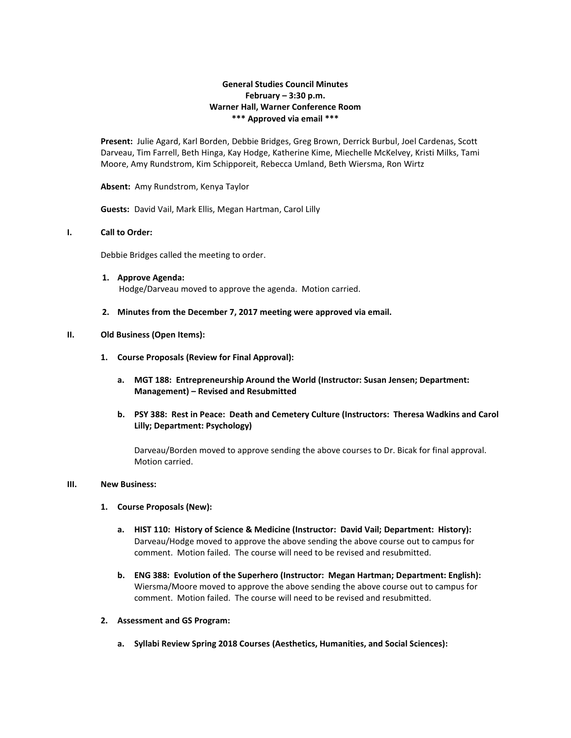# **General Studies Council Minutes February – 3:30 p.m. Warner Hall, Warner Conference Room \*\*\* Approved via email \*\*\***

**Present:** Julie Agard, Karl Borden, Debbie Bridges, Greg Brown, Derrick Burbul, Joel Cardenas, Scott Darveau, Tim Farrell, Beth Hinga, Kay Hodge, Katherine Kime, Miechelle McKelvey, Kristi Milks, Tami Moore, Amy Rundstrom, Kim Schipporeit, Rebecca Umland, Beth Wiersma, Ron Wirtz

**Absent:** Amy Rundstrom, Kenya Taylor

**Guests:** David Vail, Mark Ellis, Megan Hartman, Carol Lilly

### **I. Call to Order:**

Debbie Bridges called the meeting to order.

- **1. Approve Agenda:** Hodge/Darveau moved to approve the agenda. Motion carried.
- **2. Minutes from the December 7, 2017 meeting were approved via email.**

### **II. Old Business (Open Items):**

- **1. Course Proposals (Review for Final Approval):**
	- **a. MGT 188: Entrepreneurship Around the World (Instructor: Susan Jensen; Department: Management) – Revised and Resubmitted**
	- **b. PSY 388: Rest in Peace: Death and Cemetery Culture (Instructors: Theresa Wadkins and Carol Lilly; Department: Psychology)**

Darveau/Borden moved to approve sending the above courses to Dr. Bicak for final approval. Motion carried.

#### **III. New Business:**

#### **1. Course Proposals (New):**

- **a. HIST 110: History of Science & Medicine (Instructor: David Vail; Department: History):** Darveau/Hodge moved to approve the above sending the above course out to campus for comment. Motion failed. The course will need to be revised and resubmitted.
- **b. ENG 388: Evolution of the Superhero (Instructor: Megan Hartman; Department: English):** Wiersma/Moore moved to approve the above sending the above course out to campus for comment. Motion failed. The course will need to be revised and resubmitted.
- **2. Assessment and GS Program:**
	- **a. Syllabi Review Spring 2018 Courses (Aesthetics, Humanities, and Social Sciences):**